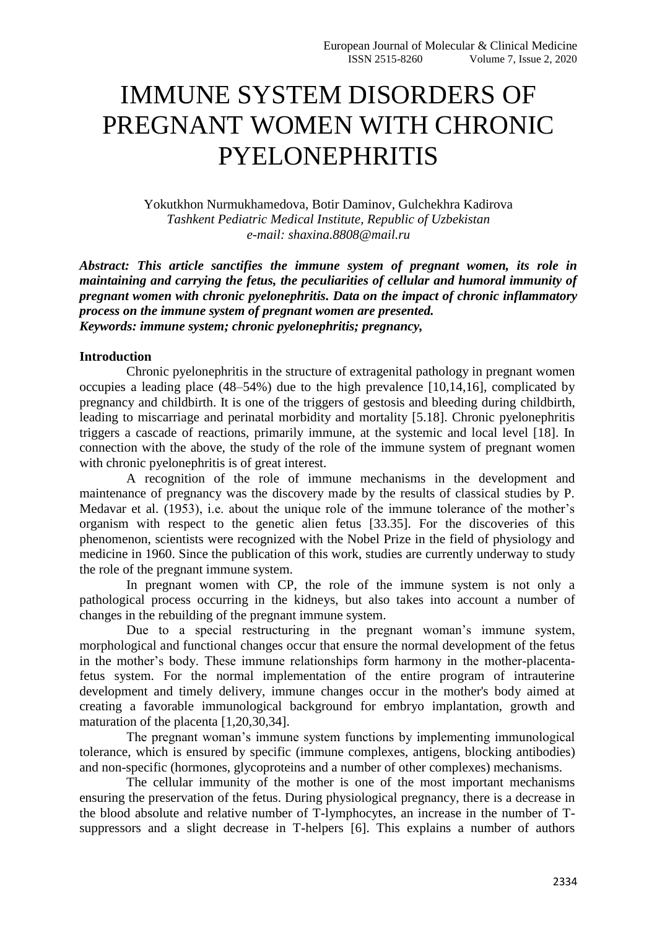## IMMUNE SYSTEM DISORDERS OF PREGNANT WOMEN WITH CHRONIC PYELONEPHRITIS

Yokutkhon Nurmukhamedova, Botir Daminov, Gulchekhra Kadirova *Tashkent Pediatric Medical Institute, Republic of Uzbekistan e-mail: shaxina.8808@mail.ru*

*Abstract: This article sanctifies the immune system of pregnant women, its role in maintaining and carrying the fetus, the peculiarities of cellular and humoral immunity of pregnant women with chronic pyelonephritis. Data on the impact of chronic inflammatory process on the immune system of pregnant women are presented. Keywords: immune system; chronic pyelonephritis; pregnancy,*

## **Introduction**

Chronic pyelonephritis in the structure of extragenital pathology in pregnant women occupies a leading place (48–54%) due to the high prevalence [10,14,16], complicated by pregnancy and childbirth. It is one of the triggers of gestosis and bleeding during childbirth, leading to miscarriage and perinatal morbidity and mortality [5.18]. Chronic pyelonephritis triggers a cascade of reactions, primarily immune, at the systemic and local level [18]. In connection with the above, the study of the role of the immune system of pregnant women with chronic pyelonephritis is of great interest.

A recognition of the role of immune mechanisms in the development and maintenance of pregnancy was the discovery made by the results of classical studies by P. Medavar et al. (1953), i.e. about the unique role of the immune tolerance of the mother's organism with respect to the genetic alien fetus [33.35]. For the discoveries of this phenomenon, scientists were recognized with the Nobel Prize in the field of physiology and medicine in 1960. Since the publication of this work, studies are currently underway to study the role of the pregnant immune system.

In pregnant women with CP, the role of the immune system is not only a pathological process occurring in the kidneys, but also takes into account a number of changes in the rebuilding of the pregnant immune system.

Due to a special restructuring in the pregnant woman's immune system, morphological and functional changes occur that ensure the normal development of the fetus in the mother's body. These immune relationships form harmony in the mother-placentafetus system. For the normal implementation of the entire program of intrauterine development and timely delivery, immune changes occur in the mother's body aimed at creating a favorable immunological background for embryo implantation, growth and maturation of the placenta [1,20,30,34].

The pregnant woman's immune system functions by implementing immunological tolerance, which is ensured by specific (immune complexes, antigens, blocking antibodies) and non-specific (hormones, glycoproteins and a number of other complexes) mechanisms.

The cellular immunity of the mother is one of the most important mechanisms ensuring the preservation of the fetus. During physiological pregnancy, there is a decrease in the blood absolute and relative number of T-lymphocytes, an increase in the number of Tsuppressors and a slight decrease in T-helpers [6]. This explains a number of authors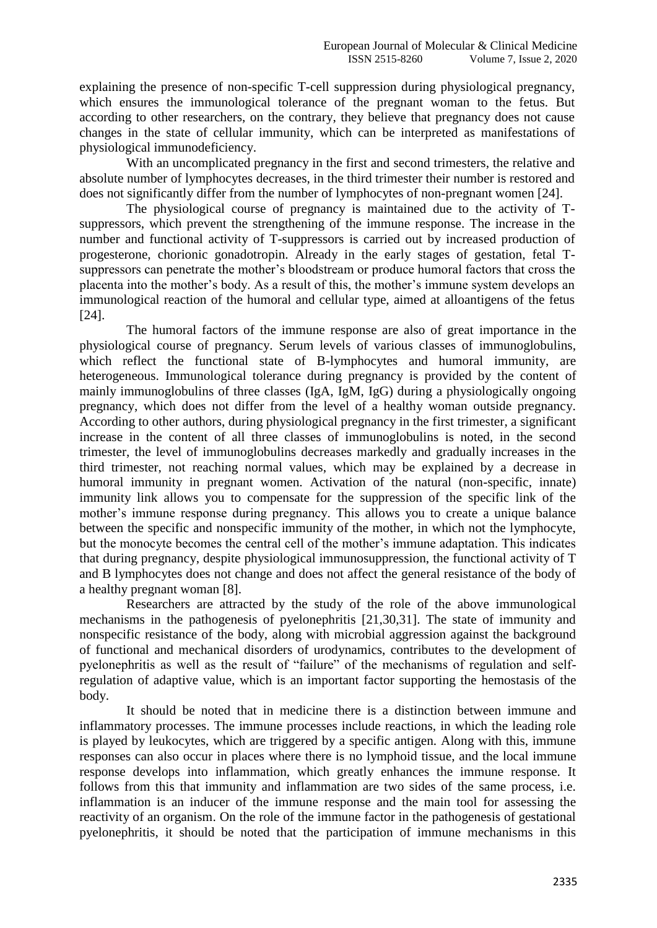explaining the presence of non-specific T-cell suppression during physiological pregnancy, which ensures the immunological tolerance of the pregnant woman to the fetus. But according to other researchers, on the contrary, they believe that pregnancy does not cause changes in the state of cellular immunity, which can be interpreted as manifestations of physiological immunodeficiency.

With an uncomplicated pregnancy in the first and second trimesters, the relative and absolute number of lymphocytes decreases, in the third trimester their number is restored and does not significantly differ from the number of lymphocytes of non-pregnant women [24].

The physiological course of pregnancy is maintained due to the activity of Tsuppressors, which prevent the strengthening of the immune response. The increase in the number and functional activity of T-suppressors is carried out by increased production of progesterone, chorionic gonadotropin. Already in the early stages of gestation, fetal Tsuppressors can penetrate the mother's bloodstream or produce humoral factors that cross the placenta into the mother's body. As a result of this, the mother's immune system develops an immunological reaction of the humoral and cellular type, aimed at alloantigens of the fetus [24].

The humoral factors of the immune response are also of great importance in the physiological course of pregnancy. Serum levels of various classes of immunoglobulins, which reflect the functional state of B-lymphocytes and humoral immunity, are heterogeneous. Immunological tolerance during pregnancy is provided by the content of mainly immunoglobulins of three classes (IgA, IgM, IgG) during a physiologically ongoing pregnancy, which does not differ from the level of a healthy woman outside pregnancy. According to other authors, during physiological pregnancy in the first trimester, a significant increase in the content of all three classes of immunoglobulins is noted, in the second trimester, the level of immunoglobulins decreases markedly and gradually increases in the third trimester, not reaching normal values, which may be explained by a decrease in humoral immunity in pregnant women. Activation of the natural (non-specific, innate) immunity link allows you to compensate for the suppression of the specific link of the mother's immune response during pregnancy. This allows you to create a unique balance between the specific and nonspecific immunity of the mother, in which not the lymphocyte, but the monocyte becomes the central cell of the mother's immune adaptation. This indicates that during pregnancy, despite physiological immunosuppression, the functional activity of T and B lymphocytes does not change and does not affect the general resistance of the body of a healthy pregnant woman [8].

Researchers are attracted by the study of the role of the above immunological mechanisms in the pathogenesis of pyelonephritis [21,30,31]. The state of immunity and nonspecific resistance of the body, along with microbial aggression against the background of functional and mechanical disorders of urodynamics, contributes to the development of pyelonephritis as well as the result of "failure" of the mechanisms of regulation and selfregulation of adaptive value, which is an important factor supporting the hemostasis of the body.

It should be noted that in medicine there is a distinction between immune and inflammatory processes. The immune processes include reactions, in which the leading role is played by leukocytes, which are triggered by a specific antigen. Along with this, immune responses can also occur in places where there is no lymphoid tissue, and the local immune response develops into inflammation, which greatly enhances the immune response. It follows from this that immunity and inflammation are two sides of the same process, i.e. inflammation is an inducer of the immune response and the main tool for assessing the reactivity of an organism. On the role of the immune factor in the pathogenesis of gestational pyelonephritis, it should be noted that the participation of immune mechanisms in this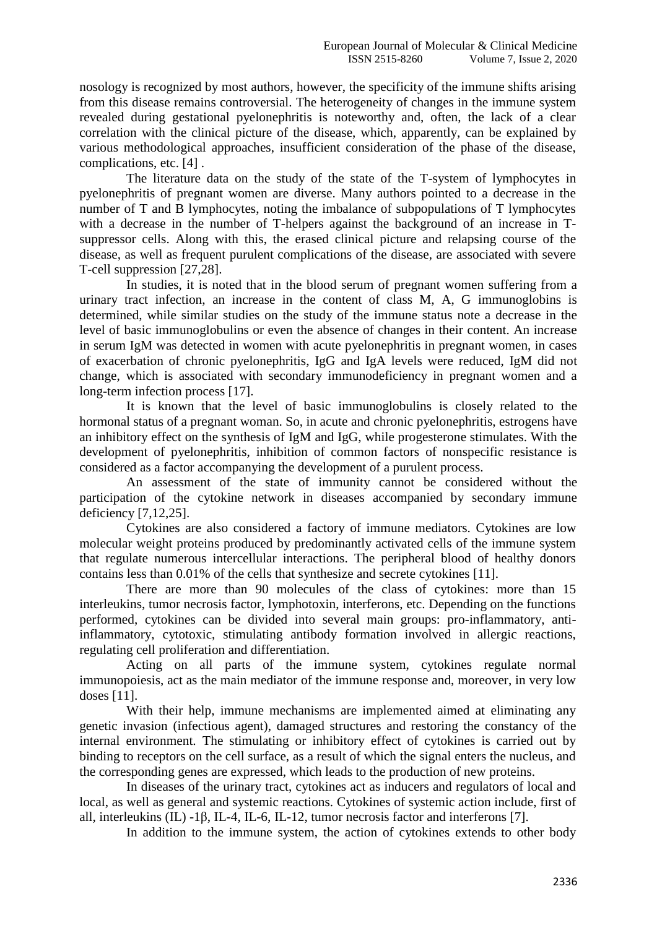nosology is recognized by most authors, however, the specificity of the immune shifts arising from this disease remains controversial. The heterogeneity of changes in the immune system revealed during gestational pyelonephritis is noteworthy and, often, the lack of a clear correlation with the clinical picture of the disease, which, apparently, can be explained by various methodological approaches, insufficient consideration of the phase of the disease, complications, etc. [4] .

The literature data on the study of the state of the T-system of lymphocytes in pyelonephritis of pregnant women are diverse. Many authors pointed to a decrease in the number of T and B lymphocytes, noting the imbalance of subpopulations of T lymphocytes with a decrease in the number of T-helpers against the background of an increase in Tsuppressor cells. Along with this, the erased clinical picture and relapsing course of the disease, as well as frequent purulent complications of the disease, are associated with severe T-cell suppression [27,28].

In studies, it is noted that in the blood serum of pregnant women suffering from a urinary tract infection, an increase in the content of class M, A, G immunoglobins is determined, while similar studies on the study of the immune status note a decrease in the level of basic immunoglobulins or even the absence of changes in their content. An increase in serum IgM was detected in women with acute pyelonephritis in pregnant women, in cases of exacerbation of chronic pyelonephritis, IgG and IgA levels were reduced, IgM did not change, which is associated with secondary immunodeficiency in pregnant women and a long-term infection process [17].

It is known that the level of basic immunoglobulins is closely related to the hormonal status of a pregnant woman. So, in acute and chronic pyelonephritis, estrogens have an inhibitory effect on the synthesis of IgM and IgG, while progesterone stimulates. With the development of pyelonephritis, inhibition of common factors of nonspecific resistance is considered as a factor accompanying the development of a purulent process.

An assessment of the state of immunity cannot be considered without the participation of the cytokine network in diseases accompanied by secondary immune deficiency [7,12,25].

Cytokines are also considered a factory of immune mediators. Cytokines are low molecular weight proteins produced by predominantly activated cells of the immune system that regulate numerous intercellular interactions. The peripheral blood of healthy donors contains less than 0.01% of the cells that synthesize and secrete cytokines [11].

There are more than 90 molecules of the class of cytokines: more than 15 interleukins, tumor necrosis factor, lymphotoxin, interferons, etc. Depending on the functions performed, cytokines can be divided into several main groups: pro-inflammatory, antiinflammatory, cytotoxic, stimulating antibody formation involved in allergic reactions, regulating cell proliferation and differentiation.

Acting on all parts of the immune system, cytokines regulate normal immunopoiesis, act as the main mediator of the immune response and, moreover, in very low doses [11].

With their help, immune mechanisms are implemented aimed at eliminating any genetic invasion (infectious agent), damaged structures and restoring the constancy of the internal environment. The stimulating or inhibitory effect of cytokines is carried out by binding to receptors on the cell surface, as a result of which the signal enters the nucleus, and the corresponding genes are expressed, which leads to the production of new proteins.

In diseases of the urinary tract, cytokines act as inducers and regulators of local and local, as well as general and systemic reactions. Cytokines of systemic action include, first of all, interleukins (IL) -1β, IL-4, IL-6, IL-12, tumor necrosis factor and interferons [7].

In addition to the immune system, the action of cytokines extends to other body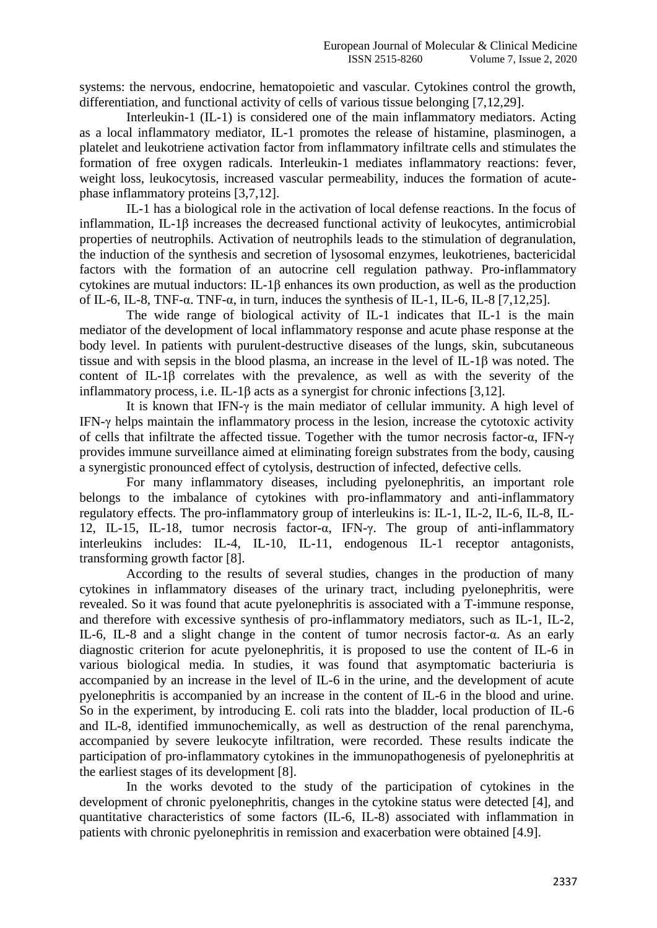systems: the nervous, endocrine, hematopoietic and vascular. Cytokines control the growth, differentiation, and functional activity of cells of various tissue belonging [7,12,29].

Interleukin-1 (IL-1) is considered one of the main inflammatory mediators. Acting as a local inflammatory mediator, IL-1 promotes the release of histamine, plasminogen, a platelet and leukotriene activation factor from inflammatory infiltrate cells and stimulates the formation of free oxygen radicals. Interleukin-1 mediates inflammatory reactions: fever, weight loss, leukocytosis, increased vascular permeability, induces the formation of acutephase inflammatory proteins [3,7,12].

IL-1 has a biological role in the activation of local defense reactions. In the focus of inflammation, IL-1β increases the decreased functional activity of leukocytes, antimicrobial properties of neutrophils. Activation of neutrophils leads to the stimulation of degranulation, the induction of the synthesis and secretion of lysosomal enzymes, leukotrienes, bactericidal factors with the formation of an autocrine cell regulation pathway. Pro-inflammatory cytokines are mutual inductors: IL-1β enhances its own production, as well as the production of IL-6, IL-8, TNF-α. TNF-α, in turn, induces the synthesis of IL-1, IL-6, IL-8 [7,12,25].

The wide range of biological activity of IL-1 indicates that IL-1 is the main mediator of the development of local inflammatory response and acute phase response at the body level. In patients with purulent-destructive diseases of the lungs, skin, subcutaneous tissue and with sepsis in the blood plasma, an increase in the level of IL-1β was noted. The content of IL-1β correlates with the prevalence, as well as with the severity of the inflammatory process, i.e. IL-1 $\beta$  acts as a synergist for chronic infections [3,12].

It is known that IFN-γ is the main mediator of cellular immunity. A high level of IFN-γ helps maintain the inflammatory process in the lesion, increase the cytotoxic activity of cells that infiltrate the affected tissue. Together with the tumor necrosis factor-α, IFN-γ provides immune surveillance aimed at eliminating foreign substrates from the body, causing a synergistic pronounced effect of cytolysis, destruction of infected, defective cells.

For many inflammatory diseases, including pyelonephritis, an important role belongs to the imbalance of cytokines with pro-inflammatory and anti-inflammatory regulatory effects. The pro-inflammatory group of interleukins is: IL-1, IL-2, IL-6, IL-8, IL-12, IL-15, IL-18, tumor necrosis factor-α, IFN-γ. The group of anti-inflammatory interleukins includes: IL-4, IL-10, IL-11, endogenous IL-1 receptor antagonists, transforming growth factor [8].

According to the results of several studies, changes in the production of many cytokines in inflammatory diseases of the urinary tract, including pyelonephritis, were revealed. So it was found that acute pyelonephritis is associated with a T-immune response, and therefore with excessive synthesis of pro-inflammatory mediators, such as IL-1, IL-2, IL-6, IL-8 and a slight change in the content of tumor necrosis factor-α. As an early diagnostic criterion for acute pyelonephritis, it is proposed to use the content of IL-6 in various biological media. In studies, it was found that asymptomatic bacteriuria is accompanied by an increase in the level of IL-6 in the urine, and the development of acute pyelonephritis is accompanied by an increase in the content of IL-6 in the blood and urine. So in the experiment, by introducing E. coli rats into the bladder, local production of IL-6 and IL-8, identified immunochemically, as well as destruction of the renal parenchyma, accompanied by severe leukocyte infiltration, were recorded. These results indicate the participation of pro-inflammatory cytokines in the immunopathogenesis of pyelonephritis at the earliest stages of its development [8].

In the works devoted to the study of the participation of cytokines in the development of chronic pyelonephritis, changes in the cytokine status were detected [4], and quantitative characteristics of some factors (IL-6, IL-8) associated with inflammation in patients with chronic pyelonephritis in remission and exacerbation were obtained [4.9].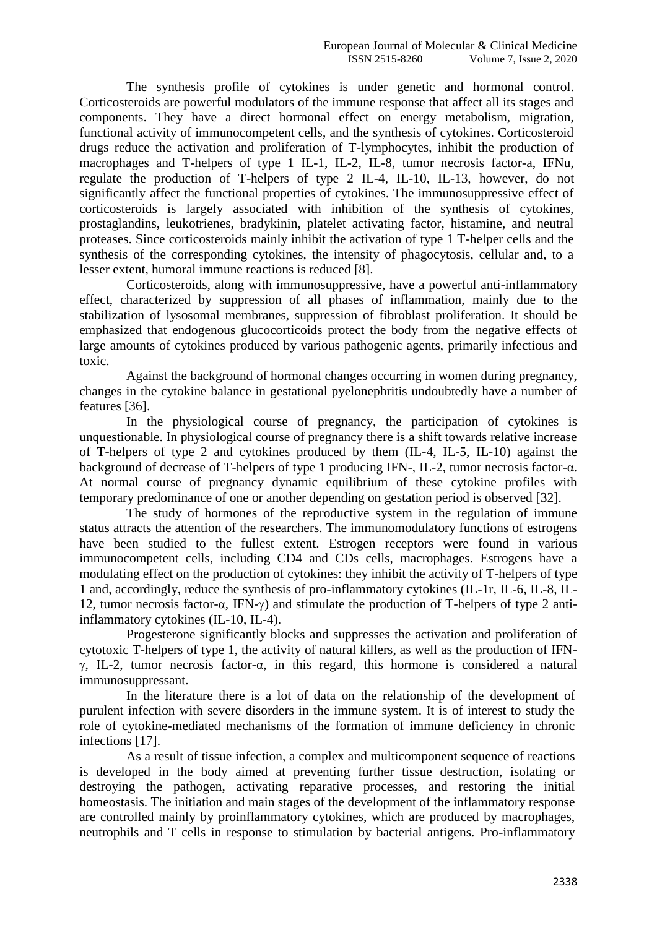The synthesis profile of cytokines is under genetic and hormonal control. Corticosteroids are powerful modulators of the immune response that affect all its stages and components. They have a direct hormonal effect on energy metabolism, migration, functional activity of immunocompetent cells, and the synthesis of cytokines. Corticosteroid drugs reduce the activation and proliferation of T-lymphocytes, inhibit the production of macrophages and T-helpers of type 1 IL-1, IL-2, IL-8, tumor necrosis factor-a, IFNu, regulate the production of T-helpers of type 2 IL-4, IL-10, IL-13, however, do not significantly affect the functional properties of cytokines. The immunosuppressive effect of corticosteroids is largely associated with inhibition of the synthesis of cytokines, prostaglandins, leukotrienes, bradykinin, platelet activating factor, histamine, and neutral proteases. Since corticosteroids mainly inhibit the activation of type 1 T-helper cells and the synthesis of the corresponding cytokines, the intensity of phagocytosis, cellular and, to a lesser extent, humoral immune reactions is reduced [8].

Corticosteroids, along with immunosuppressive, have a powerful anti-inflammatory effect, characterized by suppression of all phases of inflammation, mainly due to the stabilization of lysosomal membranes, suppression of fibroblast proliferation. It should be emphasized that endogenous glucocorticoids protect the body from the negative effects of large amounts of cytokines produced by various pathogenic agents, primarily infectious and toxic.

Against the background of hormonal changes occurring in women during pregnancy, changes in the cytokine balance in gestational pyelonephritis undoubtedly have a number of features [36].

In the physiological course of pregnancy, the participation of cytokines is unquestionable. In physiological course of pregnancy there is a shift towards relative increase of T-helpers of type 2 and cytokines produced by them (IL-4, IL-5, IL-10) against the background of decrease of T-helpers of type 1 producing IFN-, IL-2, tumor necrosis factor-α. At normal course of pregnancy dynamic equilibrium of these cytokine profiles with temporary predominance of one or another depending on gestation period is observed [32].

The study of hormones of the reproductive system in the regulation of immune status attracts the attention of the researchers. The immunomodulatory functions of estrogens have been studied to the fullest extent. Estrogen receptors were found in various immunocompetent cells, including CD4 and CDs cells, macrophages. Estrogens have a modulating effect on the production of cytokines: they inhibit the activity of T-helpers of type 1 and, accordingly, reduce the synthesis of pro-inflammatory cytokines (IL-1r, IL-6, IL-8, IL-12, tumor necrosis factor-α, IFN-γ) and stimulate the production of T-helpers of type 2 antiinflammatory cytokines (IL-10, IL-4).

Progesterone significantly blocks and suppresses the activation and proliferation of cytotoxic T-helpers of type 1, the activity of natural killers, as well as the production of IFNγ, IL-2, tumor necrosis factor-α, in this regard, this hormone is considered a natural immunosuppressant.

In the literature there is a lot of data on the relationship of the development of purulent infection with severe disorders in the immune system. It is of interest to study the role of cytokine-mediated mechanisms of the formation of immune deficiency in chronic infections [17].

As a result of tissue infection, a complex and multicomponent sequence of reactions is developed in the body aimed at preventing further tissue destruction, isolating or destroying the pathogen, activating reparative processes, and restoring the initial homeostasis. The initiation and main stages of the development of the inflammatory response are controlled mainly by proinflammatory cytokines, which are produced by macrophages, neutrophils and T cells in response to stimulation by bacterial antigens. Pro-inflammatory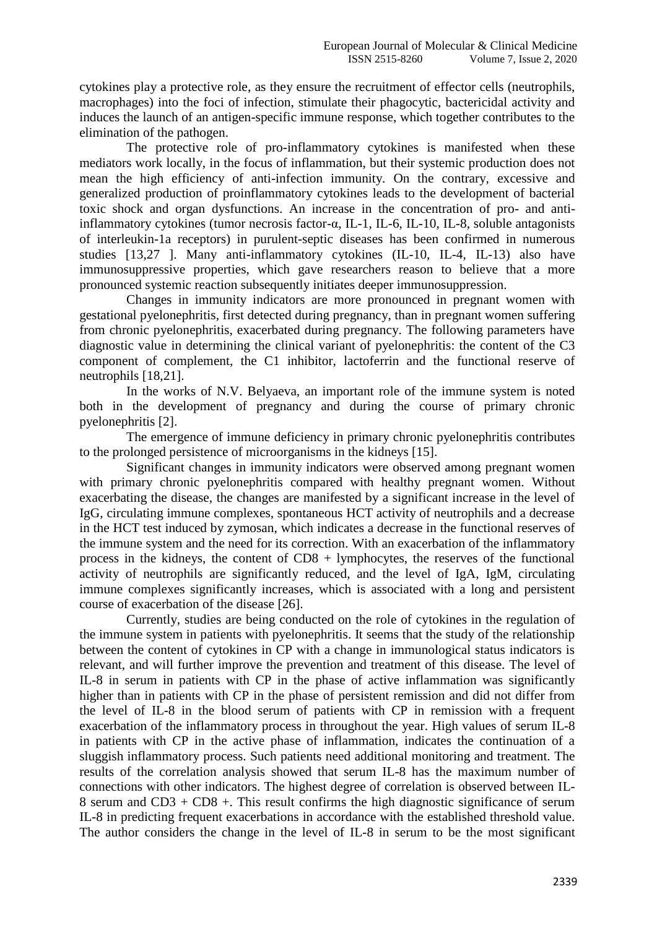cytokines play a protective role, as they ensure the recruitment of effector cells (neutrophils, macrophages) into the foci of infection, stimulate their phagocytic, bactericidal activity and induces the launch of an antigen-specific immune response, which together contributes to the elimination of the pathogen.

The protective role of pro-inflammatory cytokines is manifested when these mediators work locally, in the focus of inflammation, but their systemic production does not mean the high efficiency of anti-infection immunity. On the contrary, excessive and generalized production of proinflammatory cytokines leads to the development of bacterial toxic shock and organ dysfunctions. An increase in the concentration of pro- and antiinflammatory cytokines (tumor necrosis factor-α, IL-1, IL-6, IL-10, IL-8, soluble antagonists of interleukin-1a receptors) in purulent-septic diseases has been confirmed in numerous studies [13,27 ]. Many anti-inflammatory cytokines (IL-10, IL-4, IL-13) also have immunosuppressive properties, which gave researchers reason to believe that a more pronounced systemic reaction subsequently initiates deeper immunosuppression.

Changes in immunity indicators are more pronounced in pregnant women with gestational pyelonephritis, first detected during pregnancy, than in pregnant women suffering from chronic pyelonephritis, exacerbated during pregnancy. The following parameters have diagnostic value in determining the clinical variant of pyelonephritis: the content of the C3 component of complement, the C1 inhibitor, lactoferrin and the functional reserve of neutrophils [18,21].

In the works of N.V. Belyaeva, an important role of the immune system is noted both in the development of pregnancy and during the course of primary chronic pyelonephritis [2].

The emergence of immune deficiency in primary chronic pyelonephritis contributes to the prolonged persistence of microorganisms in the kidneys [15].

Significant changes in immunity indicators were observed among pregnant women with primary chronic pyelonephritis compared with healthy pregnant women. Without exacerbating the disease, the changes are manifested by a significant increase in the level of IgG, circulating immune complexes, spontaneous HCT activity of neutrophils and a decrease in the HCT test induced by zymosan, which indicates a decrease in the functional reserves of the immune system and the need for its correction. With an exacerbation of the inflammatory process in the kidneys, the content of CD8 + lymphocytes, the reserves of the functional activity of neutrophils are significantly reduced, and the level of IgA, IgM, circulating immune complexes significantly increases, which is associated with a long and persistent course of exacerbation of the disease [26].

Currently, studies are being conducted on the role of cytokines in the regulation of the immune system in patients with pyelonephritis. It seems that the study of the relationship between the content of cytokines in CP with a change in immunological status indicators is relevant, and will further improve the prevention and treatment of this disease. The level of IL-8 in serum in patients with CP in the phase of active inflammation was significantly higher than in patients with CP in the phase of persistent remission and did not differ from the level of IL-8 in the blood serum of patients with CP in remission with a frequent exacerbation of the inflammatory process in throughout the year. High values of serum IL-8 in patients with CP in the active phase of inflammation, indicates the continuation of a sluggish inflammatory process. Such patients need additional monitoring and treatment. The results of the correlation analysis showed that serum IL-8 has the maximum number of connections with other indicators. The highest degree of correlation is observed between IL-8 serum and CD3 + CD8 +. This result confirms the high diagnostic significance of serum IL-8 in predicting frequent exacerbations in accordance with the established threshold value. The author considers the change in the level of IL-8 in serum to be the most significant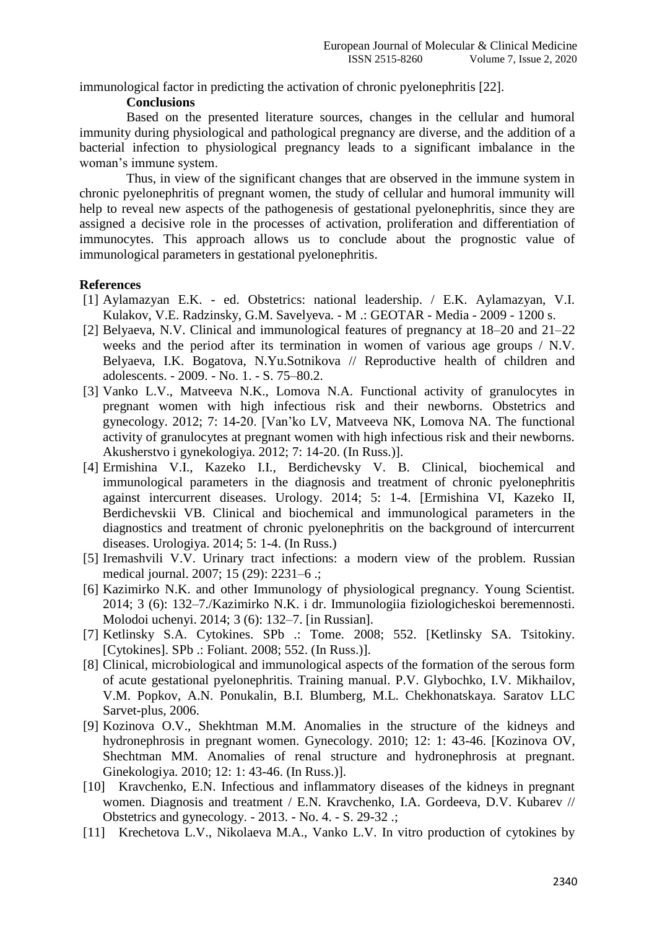immunological factor in predicting the activation of chronic pyelonephritis [22].

## **Conclusions**

Based on the presented literature sources, changes in the cellular and humoral immunity during physiological and pathological pregnancy are diverse, and the addition of a bacterial infection to physiological pregnancy leads to a significant imbalance in the woman's immune system.

Thus, in view of the significant changes that are observed in the immune system in chronic pyelonephritis of pregnant women, the study of cellular and humoral immunity will help to reveal new aspects of the pathogenesis of gestational pyelonephritis, since they are assigned a decisive role in the processes of activation, proliferation and differentiation of immunocytes. This approach allows us to conclude about the prognostic value of immunological parameters in gestational pyelonephritis.

## **References**

- [1] Aylamazyan E.K. ed. Obstetrics: national leadership. / E.K. Aylamazyan, V.I. Kulakov, V.E. Radzinsky, G.M. Savelyeva. - M .: GEOTAR - Media - 2009 - 1200 s.
- [2] Belyaeva, N.V. Clinical and immunological features of pregnancy at 18–20 and 21–22 weeks and the period after its termination in women of various age groups / N.V. Belyaeva, I.K. Bogatova, N.Yu.Sotnikova // Reproductive health of children and adolescents. - 2009. - No. 1. - S. 75–80.2.
- [3] Vanko L.V., Matveeva N.K., Lomova N.A. Functional activity of granulocytes in pregnant women with high infectious risk and their newborns. Obstetrics and gynecology. 2012; 7: 14-20. [Van'ko LV, Matveeva NK, Lomova NA. The functional activity of granulocytes at pregnant women with high infectious risk and their newborns. Akusherstvo i gynekologiya. 2012; 7: 14-20. (In Russ.)].
- [4] Ermishina V.I., Kazeko I.I., Berdichevsky V. B. Clinical, biochemical and immunological parameters in the diagnosis and treatment of chronic pyelonephritis against intercurrent diseases. Urology. 2014; 5: 1-4. [Ermishina VI, Kazeko II, Berdichevskii VB. Clinical and biochemical and immunological parameters in the diagnostics and treatment of chronic pyelonephritis on the background of intercurrent diseases. Urologiya. 2014; 5: 1-4. (In Russ.)
- [5] Iremashvili V.V. Urinary tract infections: a modern view of the problem. Russian medical journal. 2007; 15 (29): 2231–6 .;
- [6] Kazimirko N.K. and other Immunology of physiological pregnancy. Young Scientist. 2014; 3 (6): 132–7./Kazimirko N.K. i dr. Immunologiia fiziologicheskoi beremennosti. Molodoi uchenyi. 2014; 3 (6): 132–7. [in Russian].
- [7] Ketlinsky S.A. Cytokines. SPb .: Tome. 2008; 552. [Ketlinsky SA. Tsitokiny. [Cytokines]. SPb .: Foliant. 2008; 552. (In Russ.)].
- [8] Clinical, microbiological and immunological aspects of the formation of the serous form of acute gestational pyelonephritis. Training manual. P.V. Glybochko, I.V. Mikhailov, V.M. Popkov, A.N. Ponukalin, B.I. Blumberg, M.L. Chekhonatskaya. Saratov LLC Sarvet-plus, 2006.
- [9] Kozinova O.V., Shekhtman M.M. Anomalies in the structure of the kidneys and hydronephrosis in pregnant women. Gynecology. 2010; 12: 1: 43-46. [Kozinova OV, Shechtman MM. Anomalies of renal structure and hydronephrosis at pregnant. Ginekologiya. 2010; 12: 1: 43-46. (In Russ.)].
- [10] Kravchenko, E.N. Infectious and inflammatory diseases of the kidneys in pregnant women. Diagnosis and treatment / E.N. Kravchenko, I.A. Gordeeva, D.V. Kubarev // Obstetrics and gynecology. - 2013. - No. 4. - S. 29-32 .;
- [11] Krechetova L.V., Nikolaeva M.A., Vanko L.V. In vitro production of cytokines by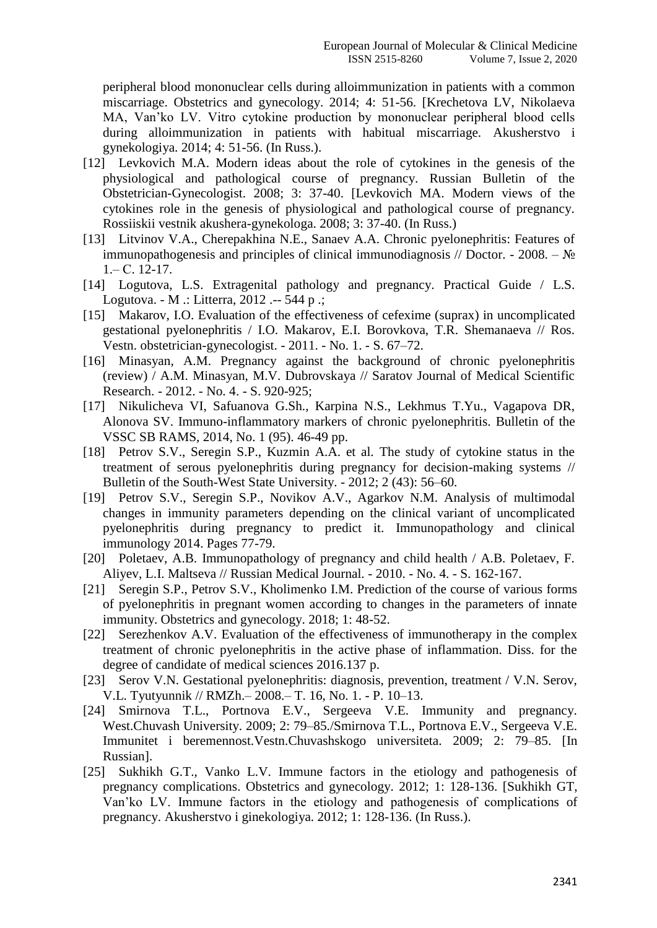peripheral blood mononuclear cells during alloimmunization in patients with a common miscarriage. Obstetrics and gynecology. 2014; 4: 51-56. [Krechetova LV, Nikolaeva MA, Van'ko LV. Vitro cytokine production by mononuclear peripheral blood cells during alloimmunization in patients with habitual miscarriage. Akusherstvo i gynekologiya. 2014; 4: 51-56. (In Russ.).

- [12] Levkovich M.A. Modern ideas about the role of cytokines in the genesis of the physiological and pathological course of pregnancy. Russian Bulletin of the Obstetrician-Gynecologist. 2008; 3: 37-40. [Levkovich MA. Modern views of the cytokines role in the genesis of physiological and pathological course of pregnancy. Rossiiskii vestnik akushera-gynekologa. 2008; 3: 37-40. (In Russ.)
- [13] Litvinov V.A., Cherepakhina N.E., Sanaev A.A. Chronic pyelonephritis: Features of immunopathogenesis and principles of clinical immunodiagnosis // Doctor. - 2008. –  $\mathbb{N}_2$ 1.– С. 12-17.
- [14] Logutova, L.S. Extragenital pathology and pregnancy. Practical Guide / L.S. Logutova. - M .: Litterra, 2012 .-- 544 p .;
- [15] Makarov, I.O. Evaluation of the effectiveness of cefexime (suprax) in uncomplicated gestational pyelonephritis / I.O. Makarov, E.I. Borovkova, T.R. Shemanaeva // Ros. Vestn. obstetrician-gynecologist. - 2011. - No. 1. - S. 67–72.
- [16] Minasyan, A.M. Pregnancy against the background of chronic pyelonephritis (review) / A.M. Minasyan, M.V. Dubrovskaya // Saratov Journal of Medical Scientific Research. - 2012. - No. 4. - S. 920-925;
- [17] Nikulicheva VI, Safuanova G.Sh., Karpina N.S., Lekhmus T.Yu., Vagapova DR, Alonova SV. Immuno-inflammatory markers of chronic pyelonephritis. Bulletin of the VSSC SB RAMS, 2014, No. 1 (95). 46-49 pp.
- [18] Petrov S.V., Seregin S.P., Kuzmin A.A. et al. The study of cytokine status in the treatment of serous pyelonephritis during pregnancy for decision-making systems // Bulletin of the South-West State University. - 2012; 2 (43): 56–60.
- [19] Petrov S.V., Seregin S.P., Novikov A.V., Agarkov N.M. Analysis of multimodal changes in immunity parameters depending on the clinical variant of uncomplicated pyelonephritis during pregnancy to predict it. Immunopathology and clinical immunology 2014. Pages 77-79.
- [20] Poletaev, A.B. Immunopathology of pregnancy and child health / A.B. Poletaev, F. Aliyev, L.I. Maltseva // Russian Medical Journal. - 2010. - No. 4. - S. 162-167.
- [21] Seregin S.P., Petrov S.V., Kholimenko I.M. Prediction of the course of various forms of pyelonephritis in pregnant women according to changes in the parameters of innate immunity. Obstetrics and gynecology. 2018; 1: 48-52.
- [22] Serezhenkov A.V. Evaluation of the effectiveness of immunotherapy in the complex treatment of chronic pyelonephritis in the active phase of inflammation. Diss. for the degree of candidate of medical sciences 2016.137 p.
- [23] Serov V.N. Gestational pyelonephritis: diagnosis, prevention, treatment / V.N. Serov, V.L. Tyutyunnik // RMZh.– 2008.– T. 16, No. 1. - P. 10–13.
- [24] Smirnova T.L., Portnova E.V., Sergeeva V.E. Immunity and pregnancy. West.Chuvash University. 2009; 2: 79–85./Smirnova T.L., Portnova E.V., Sergeeva V.E. Immunitet i beremennost.Vestn.Chuvashskogo universiteta. 2009; 2: 79–85. [In Russian].
- [25] Sukhikh G.T., Vanko L.V. Immune factors in the etiology and pathogenesis of pregnancy complications. Obstetrics and gynecology. 2012; 1: 128-136. [Sukhikh GT, Van'ko LV. Immune factors in the etiology and pathogenesis of complications of pregnancy. Akusherstvo i ginekologiya. 2012; 1: 128-136. (In Russ.).